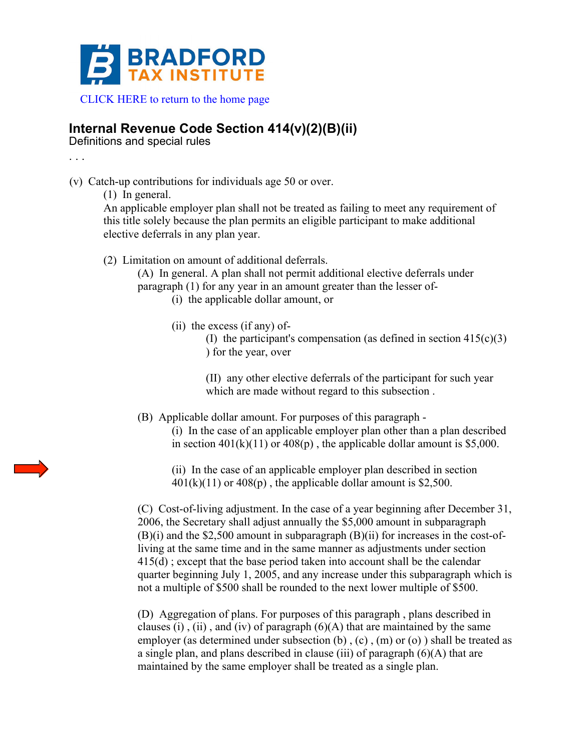

[CLICK HERE to return to the home page](http://www.bradfordtaxinstitute.com) 

## **Internal Revenue Code Section 414(v)(2)(B)(ii)**

Definitions and special rules

. . .

- (v) Catch-up contributions for individuals age 50 or over.
	- (1) In general.

An applicable employer plan shall not be treated as failing to meet any requirement of this title solely because the plan permits an eligible participant to make additional elective deferrals in any plan year.

(2) Limitation on amount of additional deferrals.

(A) In general. A plan shall not permit additional elective deferrals under paragraph (1) for any year in an amount greater than the lesser of-

- (i) the applicable dollar amount, or
- (ii) the excess (if any) of-

(I) the participant's compensation (as defined in section  $415(c)(3)$ ) for the year, over

(II) any other elective deferrals of the participant for such year which are made without regard to this subsection .

(B) Applicable dollar amount. For purposes of this paragraph -

(i) In the case of an applicable employer plan other than a plan described in section  $401(k)(11)$  or  $408(p)$ , the applicable dollar amount is \$5,000.

(ii) In the case of an applicable employer plan described in section  $401(k)(11)$  or  $408(p)$ , the applicable dollar amount is \$2,500.

(C) Cost-of-living adjustment. In the case of a year beginning after December 31, 2006, the Secretary shall adjust annually the \$5,000 amount in subparagraph  $(B)(i)$  and the \$2,500 amount in subparagraph  $(B)(ii)$  for increases in the cost-ofliving at the same time and in the same manner as adjustments under section  $415(d)$ ; except that the base period taken into account shall be the calendar quarter beginning July 1, 2005, and any increase under this subparagraph which is not a multiple of \$500 shall be rounded to the next lower multiple of \$500.

(D) Aggregation of plans. For purposes of this paragraph , plans described in clauses (i), (ii), and (iv) of paragraph  $(6)(A)$  that are maintained by the same employer (as determined under subsection (b) , (c) , (m) or (o) ) shall be treated as a single plan, and plans described in clause (iii) of paragraph (6)(A) that are maintained by the same employer shall be treated as a single plan.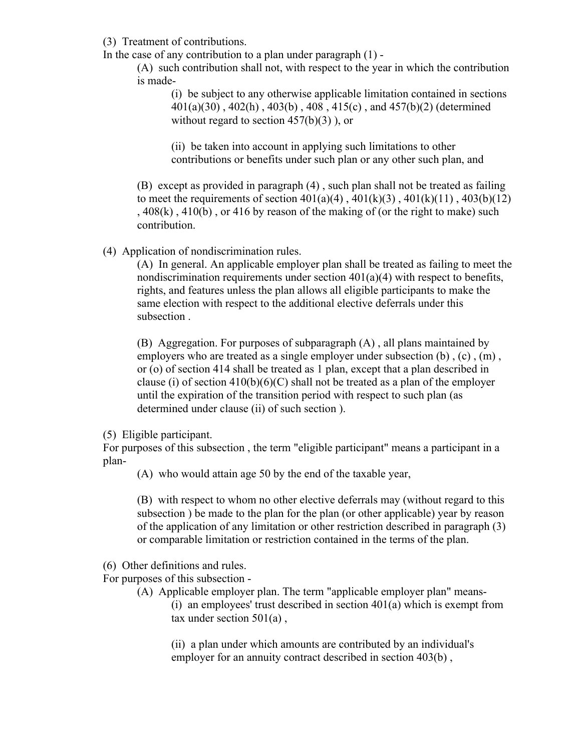(3) Treatment of contributions.

In the case of any contribution to a plan under paragraph  $(1)$  -

(A) such contribution shall not, with respect to the year in which the contribution is made-

(i) be subject to any otherwise applicable limitation contained in sections 401(a)(30) , 402(h) , 403(b) , 408 , 415(c) , and 457(b)(2) (determined without regard to section  $457(b)(3)$ , or

(ii) be taken into account in applying such limitations to other contributions or benefits under such plan or any other such plan, and

(B) except as provided in paragraph (4) , such plan shall not be treated as failing to meet the requirements of section  $401(a)(4)$ ,  $401(k)(3)$ ,  $401(k)(11)$ ,  $403(b)(12)$ ,  $408(k)$ ,  $410(b)$ , or  $416$  by reason of the making of (or the right to make) such contribution.

(4) Application of nondiscrimination rules.

(A) In general. An applicable employer plan shall be treated as failing to meet the nondiscrimination requirements under section  $401(a)(4)$  with respect to benefits, rights, and features unless the plan allows all eligible participants to make the same election with respect to the additional elective deferrals under this subsection .

(B) Aggregation. For purposes of subparagraph (A) , all plans maintained by employers who are treated as a single employer under subsection  $(b)$ ,  $(c)$ ,  $(m)$ , or (o) of section 414 shall be treated as 1 plan, except that a plan described in clause (i) of section  $410(b)(6)(C)$  shall not be treated as a plan of the employer until the expiration of the transition period with respect to such plan (as determined under clause (ii) of such section ).

(5) Eligible participant.

For purposes of this subsection , the term "eligible participant" means a participant in a plan-

(A) who would attain age 50 by the end of the taxable year,

(B) with respect to whom no other elective deferrals may (without regard to this subsection ) be made to the plan for the plan (or other applicable) year by reason of the application of any limitation or other restriction described in paragraph (3) or comparable limitation or restriction contained in the terms of the plan.

(6) Other definitions and rules.

For purposes of this subsection -

(A) Applicable employer plan. The term "applicable employer plan" means- (i) an employees' trust described in section  $401(a)$  which is exempt from tax under section  $501(a)$ ,

(ii) a plan under which amounts are contributed by an individual's employer for an annuity contract described in section 403(b),